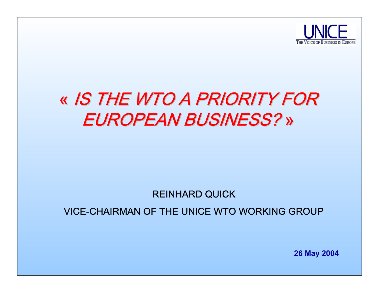

## « IS THE WTO A PRIORITY FOR EUROPEAN BUSINESS? »

#### REINHARD QUICK

#### VICE-CHAIRMAN OF THE UNICE WTO WORKING GROUP

**26 May 2004**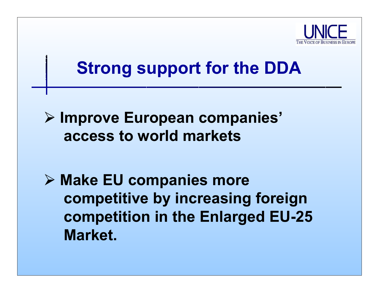

## **Strong support for the DDA**

#### ¾ **Improve European companies' access to world markets**

¾ **Make EU companies more competitive by increasing foreign competition in the Enlarged EU-25 Market.**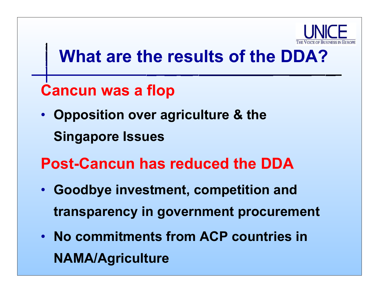

# **What are the results of the DDA?**

#### **Cancun was a flop**

- **Opposition over agriculture & the Singapore Issues**
- **Post-Cancun has reduced the DDA**
- **Goodbye investment, competition and transparency in government procurement**
- **No commitments from ACP countries in NAMA/Agriculture**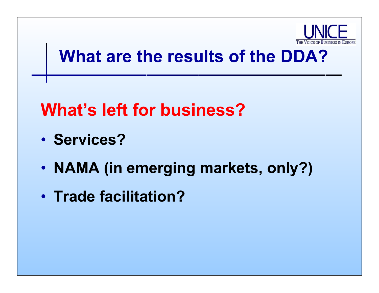

# **What are the results of the DDA?**

# **What's left for business?**

- **Services?**
- •**NAMA (in emerging markets, only?)**
- **Trade facilitation?**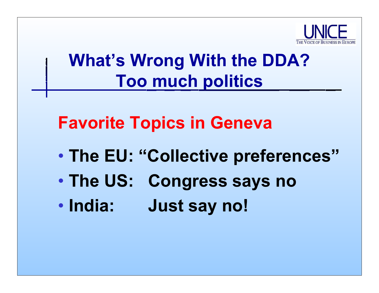

# **What's Wrong With the DDA? Too much politics**

## **Favorite Topics in Geneva**

- $\bullet$ **The EU: "Collective preferences"**
- $\bullet$ **The US: Congress says no**
- India: **India: Just say no!**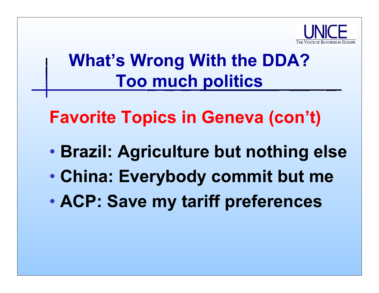

# **What's Wrong With the DDA? Too much politics**

**Favorite Topics in Geneva (con't)**

- $\bullet$ **Brazil: Agriculture but nothing else**
- $\bullet$ **China: Everybody commit but me**
- $\bullet$ **ACP: Save my tariff preferences**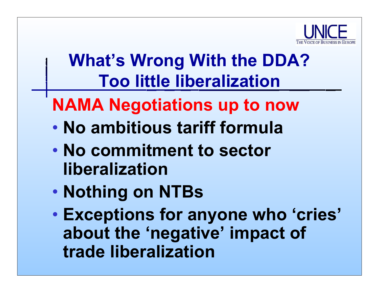

# **What's Wrong With the DDA? Too little liberalization**

# **NAMA Negotiations up to now**

- $\bullet$ **No ambitious tariff formula**
- • **No commitment to sector liberalization**
- $\bullet$ **Nothing on NTBs**
- $\bullet$  **Exceptions for anyone who 'cries' about the 'negative' impact of trade liberalization**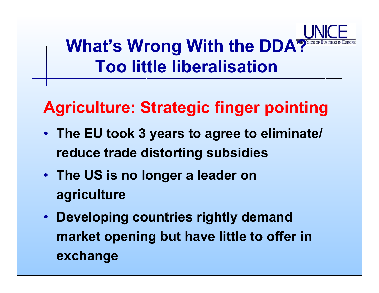**What's Wrong With the DDA? Too little liberalisation**

## **Agriculture: Strategic finger pointing**

- **The EU took 3 years to agree to eliminate/ reduce trade distorting subsidies**
- **The US is no longer a leader on agriculture**
- • **Developing countries rightly demand market opening but have little to offer in exchange**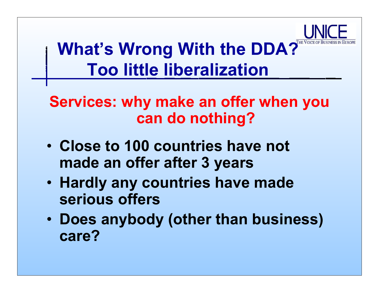

# What's Wrong With the DDA? **Too little liberalization**

#### **Services: why make an offer when you can do nothing?**

- **Close to 100 countries have not made an offer after 3 years**
- **Hardly any countries have made seriousoffers**
- **Does anybody (other than business) care?**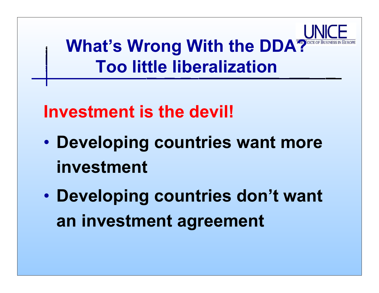

## **Investment is the devil!**

- $\bullet$  **Developing countries want more investment**
- $\bullet$  **Developing countries don't want an investment agreement**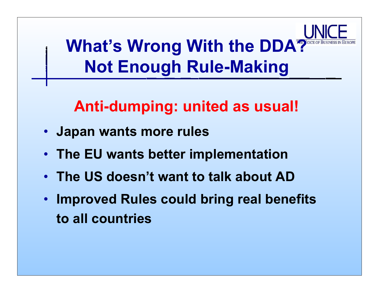**What's Wrong With the DDA? Not Enough Rule-Making**

#### **Anti-dumping: united as usual!**

- **Japan wants more rules**
- **The EU wants better implementation**
- **The US doesn't want to talk about AD**
- • **Improved Rules could bring real benefits to all countries**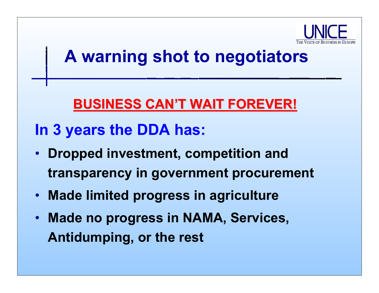

# **A warning shot to negotiators**

#### **BUSINESS CAN'T WAIT FOREVER! BUSINESS CAN'T WAIT FOREVER!**

#### **In 3 years the DDA has:**

- **Dropped investment, competition and transparency in government procurement**
- •**Made limited progress in agriculture**
- • **Made no progress in NAMA, Services, Antidumping, or the rest**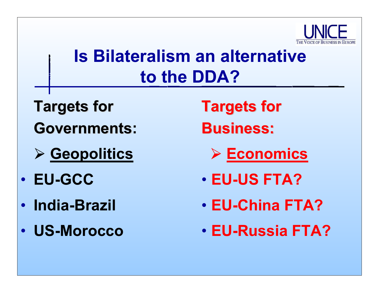

# **Is Bilateralism an alternative to the DDA?**

- **Targets for Governments: Governments**
- ¾ **Geopolitics**
- **EU-GCC**
- **India-Brazil**
- **US-Morocco**
- **Targets for Business: Business:**
	- ¾ **Economics**
- **EU-US FTA?**
- **EU-China FTA?**
- **EU-Russia FTA?**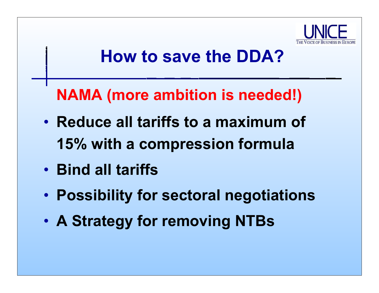

**NAMA (more ambition is needed!)**

- **Reduce all tariffs to a maximum of 15% with a compression formula**
- **Bind all tariffs**
- •**Possibility for sectoral negotiations**
- •**A Strategy for removing NTBs**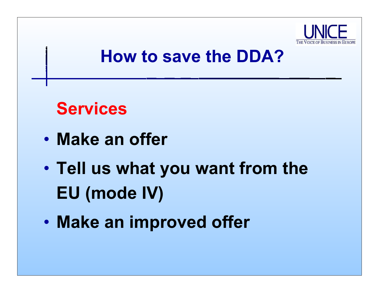

#### **Services**

- $\bullet$ **Make an offer**
- $\bullet$  **Tell us what you want from the EU (mode IV)**
- $\bullet$ **Make an improved offer**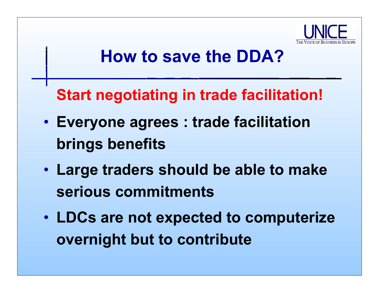

**Start negotiating in trade facilitation!**

- • **Everyone agrees : trade facilitation brings benefits**
- **Large traders should be able to make serious commitments**
- **LDCs are not expected to computerize overnight but to contribute**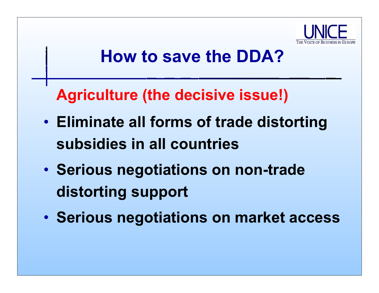

**Agriculture (the decisive issue!)**

- • **Eliminate all forms of trade distorting subsidies in all countries**
- • **Serious negotiations on non-trade distorting support**
- •**Serious negotiations on market access**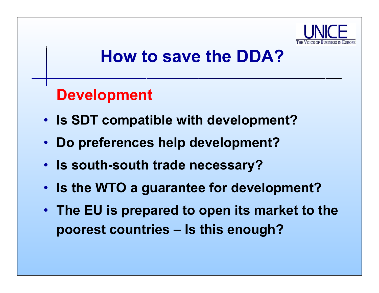

#### **Development**

- **Is SDT compatible with development?**
- •**Do preferences help development?**
- **Is south-south trade necessary?**
- **Is the WTO a guarantee for development?**
- **The EU is prepared to open its market to the poorest countries – Is this enough?**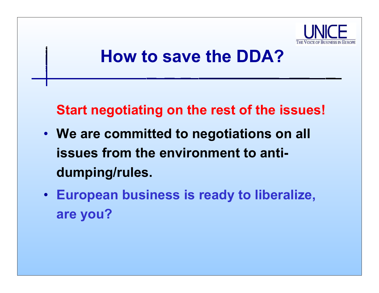

**Start negotiating on the rest of the issues!**

- **We are committed to negotiations on all issues from the environment to antidumping/rules.**
- **European business is ready to liberalize, are you?**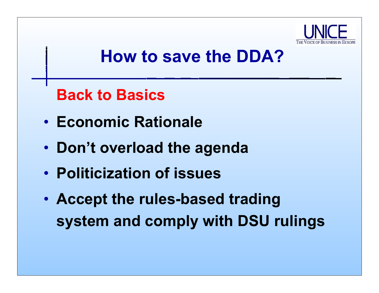

**Back to Basics**

- **Economic Rationale**
- **Don't overload the agenda**
- **Politicization of issues**
- **Accept the rules-based trading system and comply with DSU rulings**